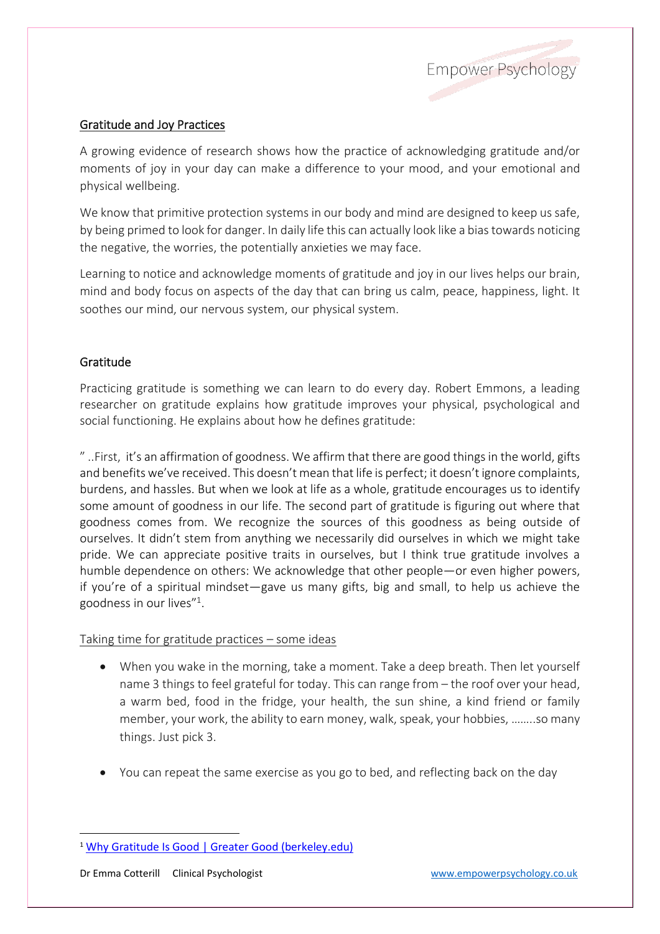

## Gratitude and Joy Practices

A growing evidence of research shows how the practice of acknowledging gratitude and/or moments of joy in your day can make a difference to your mood, and your emotional and physical wellbeing.

We know that primitive protection systems in our body and mind are designed to keep us safe, by being primed to look for danger. In daily life this can actually look like a bias towards noticing the negative, the worries, the potentially anxieties we may face.

Learning to notice and acknowledge moments of gratitude and joy in our lives helps our brain, mind and body focus on aspects of the day that can bring us calm, peace, happiness, light. It soothes our mind, our nervous system, our physical system.

## Gratitude

Practicing gratitude is something we can learn to do every day. Robert Emmons, a leading researcher on gratitude explains how gratitude improves your physical, psychological and social functioning. He explains about how he defines gratitude:

" ..First, it's an affirmation of goodness. We affirm that there are good things in the world, gifts and benefits we've received. This doesn't mean that life is perfect; it doesn't ignore complaints, burdens, and hassles. But when we look at life as a whole, gratitude encourages us to identify some amount of goodness in our life. The second part of gratitude is figuring out where that goodness comes from. We recognize the sources of this goodness as being outside of ourselves. It didn't stem from anything we necessarily did ourselves in which we might take pride. We can appreciate positive traits in ourselves, but I think true gratitude involves a humble dependence on others: We acknowledge that other people—or even higher powers, if you're of a spiritual mindset—gave us many gifts, big and small, to help us achieve the goodness in our lives"<sup>1</sup> .

Taking time for gratitude practices – some ideas

- When you wake in the morning, take a moment. Take a deep breath. Then let yourself name 3 things to feel grateful for today. This can range from – the roof over your head, a warm bed, food in the fridge, your health, the sun shine, a kind friend or family member, your work, the ability to earn money, walk, speak, your hobbies, ……..so many things. Just pick 3.
- You can repeat the same exercise as you go to bed, and reflecting back on the day

<sup>&</sup>lt;sup>1</sup> [Why Gratitude Is Good | Greater Good \(berkeley.edu\)](https://greatergood.berkeley.edu/article/item/why_gratitude_is_good)